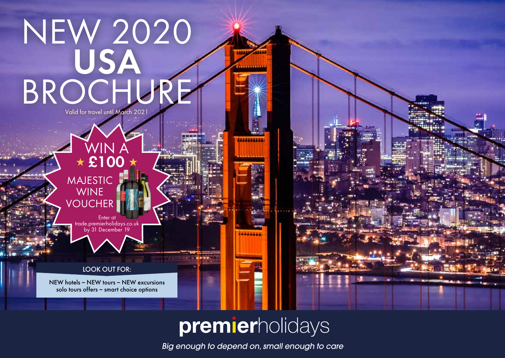## NEW 2020 USA BROCHURE Valid for travel until March 2021

 $\star$  £100  $\star$ MAJESTIC WINE VOUCHER

Enter at trade.premierholidays.co.uk by 31 December 19

WIN A

LOOK OUT FOR:

NEW hotels ~ NEW tours ~ NEW excursions solo tours offers ~ smart choice options

## premierholidays

6111111111

*Big enough to depend on, small enough to care*